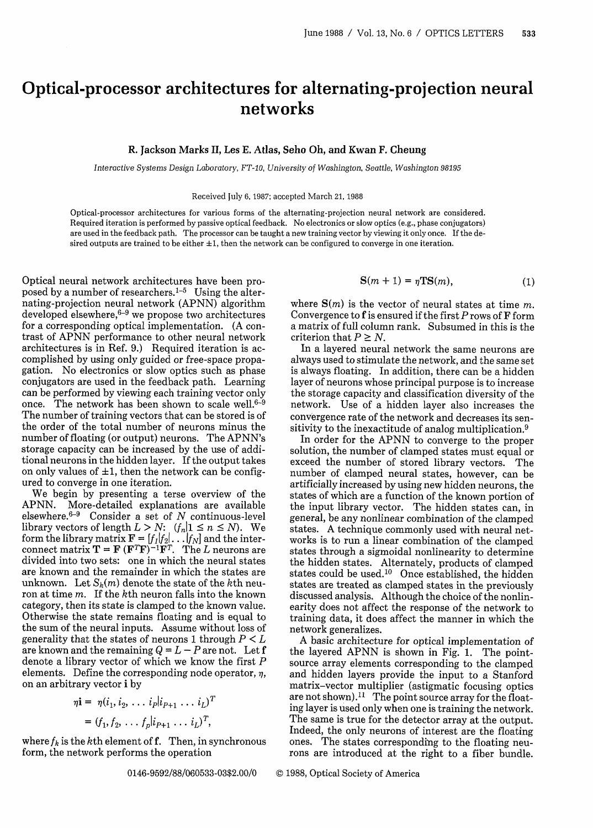## Optical-processor architectures for alternating-projection neural networks

## R. Jackson Marks II, Les E. Atlas, Seho Oh, and Kwan F. Cheung

*Interactive Systems Design Laboratory, FT-10, University of Washington, Seattle, Washington 98195*

Received July 6, 1987; accepted March 21, 1988

Optical-processor architectures for various forms of the alternating-projection neural network are considered. Required iteration is performed by passive optical feedback. No electronics or slow optics (e.g., phase conjugators) are used in the feedback path. The processor can be taught a new training vector by viewing it only once. If the desired outputs are trained to be either  $\pm 1$ , then the network can be configured to converge in one iteration.

Optical neural network architectures have been proposed by a number of researchers.<sup>1-5</sup> Using the alternating-projection neural network (APNN) algorithm developed elsewhere,<sup>6–9</sup> we propose two architecture for a corresponding optical implementation. (A contrast of APNN performance to other neural network architectures is in Ref. 9.) Required iteration is accomplished by using only guided or free-space propagation. No electronics or slow optics such as phase conjugators are used in the feedback path. Learning can be performed by viewing each training vector only once. The network has been shown to scale well.<sup>6-9</sup> The number of training vectors that can be stored is of the order of the total number of neurons minus the number of floating (or output) neurons. The APNN's storage capacity can be increased by the use of additional neurons in the hidden layer. If the output takes on only values of  $\pm 1$ , then the network can be configured to converge in one iteration.

We begin by presenting a terse overview of the APNN. More-detailed explanations are available  $e$ lsewhere. $6-9$  Consider a set of N continuous-level library vectors of length  $L > N$ :  $(f_n | 1 \le n \le N)$ . We form the library matrix  $\mathbf{F} = [f_I|f_2|\dots|f_N]$  and the interconnect matrix  $\mathbf{T} = \mathbf{F} (\mathbf{F}^T \mathbf{F})^{-1} \mathbf{F}^T$ . The *L* neurons are divided into two sets: one in which the neural states are known and the remainder in which the states are unknown. Let  $S_k(m)$  denote the state of the kth neuron at time m. If the kth neuron falls into the known category, then its state is clamped to the known value. Otherwise the state remains floating and is equal to the sum of the neural inputs. Assume without loss of generality that the states of neurons 1 through P *< L* are known and the remaining  $Q = L - P$  are not. Let f denote a library vector of which we know the first P elements. Define the corresponding node operator,  $\eta$ , on an arbitrary vector i by

$$
\eta \mathbf{i} = \eta (i_1, i_2, \dots, i_p | i_{p+1} \dots i_L)^T
$$
  
=  $(f_1, f_2, \dots, f_p | i_{p+1} \dots i_L)^T$ ,

where  $f_k$  is the kth element of f. Then, in synchronous form, the network performs the operation

$$
\mathbf{S}(m+1) = \eta \mathbf{TS}(m),\tag{1}
$$

where  $S(m)$  is the vector of neural states at time m. Convergence to  $f$  is ensured if the first P rows of  $F$  form a matrix of full column rank. Subsumed in this is the criterion that  $P \geq N$ .

In a layered neural network the same neurons are always used to stimulate the network, and the same set is always floating. In addition, there can be a hidden layer of neurons whose principal purpose is to increase the storage capacity and classification diversity of the network. Use of a hidden layer also increases the convergence rate of the network and decreases its sensitivity to the inexactitude of analog multiplication.9

In order for the APNN to converge to the proper solution, the number of clamped states must equal or exceed the number of stored library vectors. The number of clamped neural states, however, can be artificially increased by using new hidden neurons, the states of which are a function of the known portion of the input library vector. The hidden states can, in general, be any nonlinear combination of the clamped states. A technique commonly used with neural networks is to run a linear combination of the clamped states through a sigmoidal nonlinearity to determine the hidden states. Alternately, products of clamped states could be used.'<sup>0</sup> Once established, the hidden states are treated as clamped states in the previously discussed analysis, Although the choice of the nonlinearity does not affect the response of the network to training data, it does affect the manner in which the network generalizes.

A basic architecture for optical implementation of the layered APNN is shown in Fig. 1. The pointsource array elements corresponding to the clamped and hidden layers provide the input to a Stanford matrix-vector multiplier (astigmatic focusing optics are not shown).<sup>11</sup> The point source array for the floating layer is used only when one is training the network. The same is true for the detector array at the output. Indeed, the only neurons of interest are the floating ones. The states corresponding to the floating neurons are introduced at the right to a fiber bundle.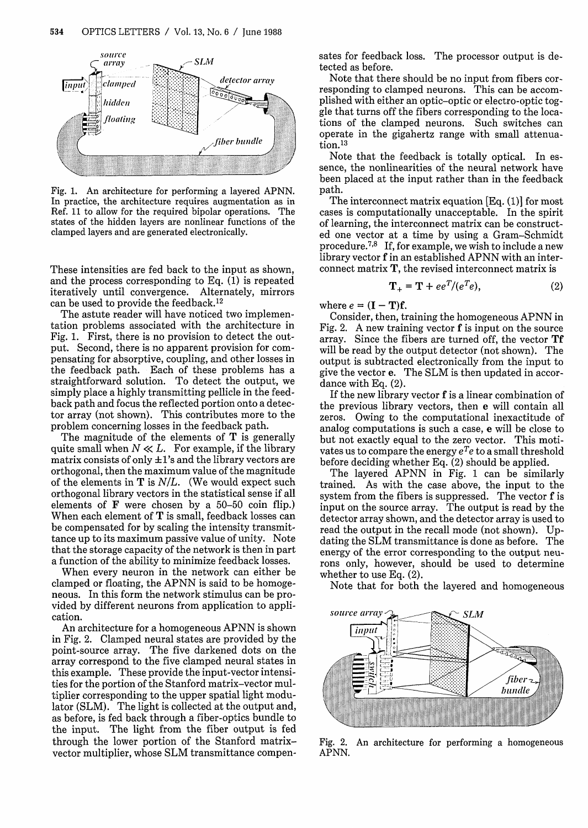

Fig. 1. An architecture for performing a layered APNN. In practice, the architecture requires augmentation as in Ref. 11 to allow for the required bipolar operations. The states of the hidden layers are nonlinear functions of the clamped layers and are generated electronically.

These intensities are fed back to the input as shown, and the process corresponding to Eq. (1) is repeated iteratively until convergence. Alternately, mirrors can be used to provide the feedback.12

The astute reader will have noticed two implementation problems associated with the architecture in Fig. 1. First, there is no provision to detect the output. Second, there is no apparent provision for compensating for absorptive, coupling, and other losses in the feedback path. Each of these problems has a straightforward solution. To detect the output, we simply place a highly transmitting pellicle in the feedback path and focus the reflected portion onto a detector array (not shown). This contributes more to the problem concerning losses in the feedback path.

The magnitude of the elements of  $T$  is generally quite small when  $N \ll L$ . For example, if the library matrix consists of only  $\pm 1$ 's and the library vectors are orthogonal, then the maximum value of the magnitude of the elements in  $T$  is  $N/L$ . (We would expect such orthogonal library vectors in the statistical sense if all elements of  $\bf{F}$  were chosen by a 50–50 coin flip.) When each element of  $T$  is small, feedback losses can be compensated for by scaling the intensity transmittance up to its maximum passive value of unity. Note that the storage capacity of the network is then in part a function of the ability to minimize feedback losses.

When every neuron in the network can either be clamped or floating, the APNN is said to be homogeneous. In this form the network stimulus can be provided by different neurons from application to application.

An architecture for a homogeneous APNN is shown in Fig. 2. Clamped neural states are provided by the point-source array. The five darkened dots on the array correspond to the five clamped neural states in this example. These provide the input-vector intensities for the portion of the Stanford matrix-vector multiplier corresponding to the upper spatial light modulator (SLM). The light is collected at the output and, as before, is fed back through a fiber-optics bundle to the input. The light from the fiber output is fed through the lower portion of the Stanford matrixvector multiplier, whose SLM transmittance compensates for feedback loss. The processor output is detected as before.

Note that there should be no input from fibers corresponding to clamped neurons. This can be accomplished with either an optic-optic or electro-optic toggle that turns off the fibers corresponding to the locations of the clamped neurons. Such switches can operate in the gigahertz range with small attenuation.<sup>13</sup>

Note that the feedback is totally optical. In essence, the nonlinearities of the neural network have been placed at the input rather than in the feedback path.

The interconnect matrix equation [Eq. (1)] for most cases is computationally unacceptable. In the spirit of learning, the interconnect matrix can be constructed one vector at a time by using a Gram-Schmidt procedure.<sup>7,8</sup> If, for example, we wish to include a new library vector f in an established APNN with an interconnect matrix **T,** the revised interconnect matrix is

$$
\mathbf{T}_{+} = \mathbf{T} + ee^{T}/(e^{T}e), \qquad (2)
$$

where  $e = (\mathbf{I} - \mathbf{T})\mathbf{f}$ .

Consider, then, training the homogeneous APNN in Fig. 2. A new training vector f is input on the source array. Since the fibers are turned off, the vector **Tf** will be read by the output detector (not shown). The output is subtracted electronically from the input to give the vector e. The SLM is then updated in accordance with Eq.  $(2)$ .

If the new library vector  $f$  is a linear combination of the previous library vectors, then e will contain all zeros. Owing to the computational inexactitude of analog computations is such a case, e will be close to but not exactly equal to the zero vector. This motivates us to compare the energy *eTe* to a small threshold before deciding whether Eq. (2) should be applied.

The layered APNN in Fig. 1 can be similarly trained. As with the case above, the input to the system from the fibers is suppressed. The vector f is input on the source array. The output is read by the detector array shown, and the detector array is used to read the output in the recall mode (not shown). Updating the SLM transmittance is done as before. The energy of the error corresponding to the output neurons only, however, should be used to determine whether to use Eq. (2).

Note that for both the layered and homogeneous



Fig. 2. An architecture for performing a homogeneous APNN.